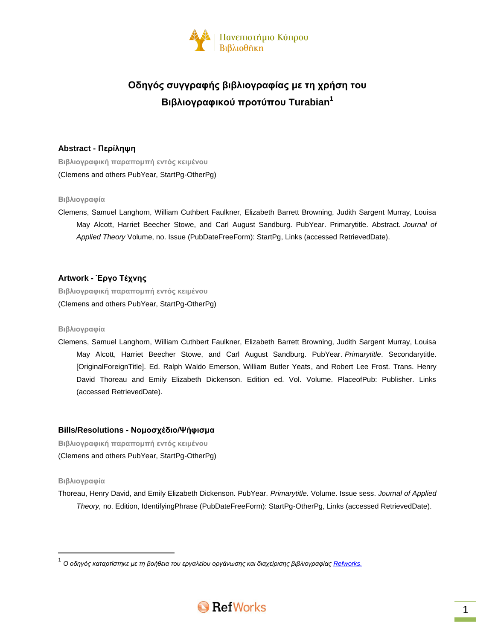

# **Οδηγός συγγραφής βιβλιογραφίας με τη χρήση του Βιβλιογραφικού προτύπου Turabian<sup>1</sup>**

# **Abstract - Περίληψη**

**Βιβλιογραφική παραπομπή εντός κειμένου** (Clemens and others PubYear, StartPg-OtherPg)

## **Βιβλιογραφία**

Clemens, Samuel Langhorn, William Cuthbert Faulkner, Elizabeth Barrett Browning, Judith Sargent Murray, Louisa May Alcott, Harriet Beecher Stowe, and Carl August Sandburg. PubYear. Primarytitle. Abstract. *Journal of Applied Theory* Volume, no. Issue (PubDateFreeForm): StartPg, Links (accessed RetrievedDate).

# **Artwork - Έργο Τέχνης**

**Βιβλιογραφική παραπομπή εντός κειμένου** (Clemens and others PubYear, StartPg-OtherPg)

## **Βιβλιογραφία**

Clemens, Samuel Langhorn, William Cuthbert Faulkner, Elizabeth Barrett Browning, Judith Sargent Murray, Louisa May Alcott, Harriet Beecher Stowe, and Carl August Sandburg. PubYear. *Primarytitle*. Secondarytitle. [OriginalForeignTitle]. Ed. Ralph Waldo Emerson, William Butler Yeats, and Robert Lee Frost. Trans. Henry David Thoreau and Emily Elizabeth Dickenson. Edition ed. Vol. Volume. PlaceofPub: Publisher. Links (accessed RetrievedDate).

# **Bills/Resolutions - Νομοσχέδιο/Ψήφισμα**

**Βιβλιογραφική παραπομπή εντός κειμένου** (Clemens and others PubYear, StartPg-OtherPg)

## **Βιβλιογραφία**

 $\overline{\phantom{a}}$ 

Thoreau, Henry David, and Emily Elizabeth Dickenson. PubYear. *Primarytitle.* Volume. Issue sess. *Journal of Applied Theory,* no. Edition, IdentifyingPhrase (PubDateFreeForm): StartPg-OtherPg, Links (accessed RetrievedDate).

<sup>.&</sup>lt;br><sup>1</sup> Ο οδηγός καταρτίστηκε με τη βοήθεια του εργαλείου οργάνωσης και διαχείρισης βιβλιογραφίας <u>Refworks.</u>

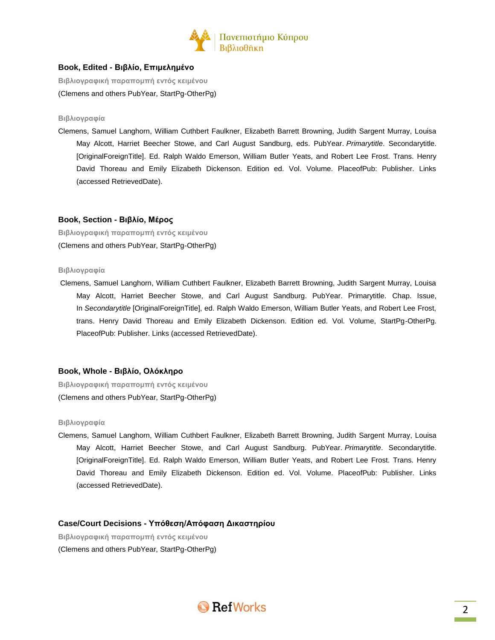

## **Book, Edited - Βιβλίο, Επιμελημένο**

**Βιβλιογραφική παραπομπή εντός κειμένου** (Clemens and others PubYear, StartPg-OtherPg)

#### **Βιβλιογραφία**

Clemens, Samuel Langhorn, William Cuthbert Faulkner, Elizabeth Barrett Browning, Judith Sargent Murray, Louisa May Alcott, Harriet Beecher Stowe, and Carl August Sandburg, eds. PubYear. *Primarytitle*. Secondarytitle. [OriginalForeignTitle]. Ed. Ralph Waldo Emerson, William Butler Yeats, and Robert Lee Frost. Trans. Henry David Thoreau and Emily Elizabeth Dickenson. Edition ed. Vol. Volume. PlaceofPub: Publisher. Links (accessed RetrievedDate).

## **Book, Section - Βιβλίο, Μέρος**

**Βιβλιογραφική παραπομπή εντός κειμένου** (Clemens and others PubYear, StartPg-OtherPg)

#### **Βιβλιογραφία**

Clemens, Samuel Langhorn, William Cuthbert Faulkner, Elizabeth Barrett Browning, Judith Sargent Murray, Louisa May Alcott, Harriet Beecher Stowe, and Carl August Sandburg. PubYear. Primarytitle. Chap. Issue, In *Secondarytitle* [OriginalForeignTitle], ed. Ralph Waldo Emerson, William Butler Yeats, and Robert Lee Frost, trans. Henry David Thoreau and Emily Elizabeth Dickenson. Edition ed. Vol. Volume, StartPg-OtherPg. PlaceofPub: Publisher. Links (accessed RetrievedDate).

## **Book, Whole - Βιβλίο, Ολόκληρο**

**Βιβλιογραφική παραπομπή εντός κειμένου** (Clemens and others PubYear, StartPg-OtherPg)

#### **Βιβλιογραφία**

Clemens, Samuel Langhorn, William Cuthbert Faulkner, Elizabeth Barrett Browning, Judith Sargent Murray, Louisa May Alcott, Harriet Beecher Stowe, and Carl August Sandburg. PubYear. *Primarytitle*. Secondarytitle. [OriginalForeignTitle]. Ed. Ralph Waldo Emerson, William Butler Yeats, and Robert Lee Frost. Trans. Henry David Thoreau and Emily Elizabeth Dickenson. Edition ed. Vol. Volume. PlaceofPub: Publisher. Links (accessed RetrievedDate).

## **Case/Court Decisions - Υπόθεση/Απόφαση Δικαστηρίου**

**Βιβλιογραφική παραπομπή εντός κειμένου** (Clemens and others PubYear, StartPg-OtherPg)

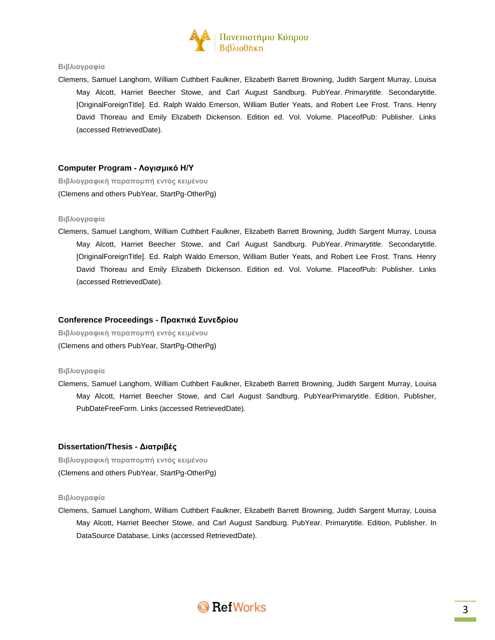

#### **Βιβλιογραφία**

Clemens, Samuel Langhorn, William Cuthbert Faulkner, Elizabeth Barrett Browning, Judith Sargent Murray, Louisa May Alcott, Harriet Beecher Stowe, and Carl August Sandburg. PubYear. *Primarytitle*. Secondarytitle. [OriginalForeignTitle]. Ed. Ralph Waldo Emerson, William Butler Yeats, and Robert Lee Frost. Trans. Henry David Thoreau and Emily Elizabeth Dickenson. Edition ed. Vol. Volume. PlaceofPub: Publisher. Links (accessed RetrievedDate).

## **Computer Program - Λογισμικό Η/Υ**

**Βιβλιογραφική παραπομπή εντός κειμένου** (Clemens and others PubYear, StartPg-OtherPg)

#### **Βιβλιογραφία**

Clemens, Samuel Langhorn, William Cuthbert Faulkner, Elizabeth Barrett Browning, Judith Sargent Murray, Louisa May Alcott, Harriet Beecher Stowe, and Carl August Sandburg. PubYear. *Primarytitle*. Secondarytitle. [OriginalForeignTitle]. Ed. Ralph Waldo Emerson, William Butler Yeats, and Robert Lee Frost. Trans. Henry David Thoreau and Emily Elizabeth Dickenson. Edition ed. Vol. Volume. PlaceofPub: Publisher. Links (accessed RetrievedDate).

## **Conference Proceedings - Πρακτικά Συνεδρίου**

**Βιβλιογραφική παραπομπή εντός κειμένου** (Clemens and others PubYear, StartPg-OtherPg)

#### **Βιβλιογραφία**

Clemens, Samuel Langhorn, William Cuthbert Faulkner, Elizabeth Barrett Browning, Judith Sargent Murray, Louisa May Alcott, Harriet Beecher Stowe, and Carl August Sandburg. PubYearPrimarytitle. Edition, Publisher, PubDateFreeForm. Links (accessed RetrievedDate).

#### **Dissertation/Thesis - Διατριβές**

**Βιβλιογραφική παραπομπή εντός κειμένου** (Clemens and others PubYear, StartPg-OtherPg)

#### **Βιβλιογραφία**

Clemens, Samuel Langhorn, William Cuthbert Faulkner, Elizabeth Barrett Browning, Judith Sargent Murray, Louisa May Alcott, Harriet Beecher Stowe, and Carl August Sandburg. PubYear. Primarytitle. Edition, Publisher. In DataSource Database, Links (accessed RetrievedDate).

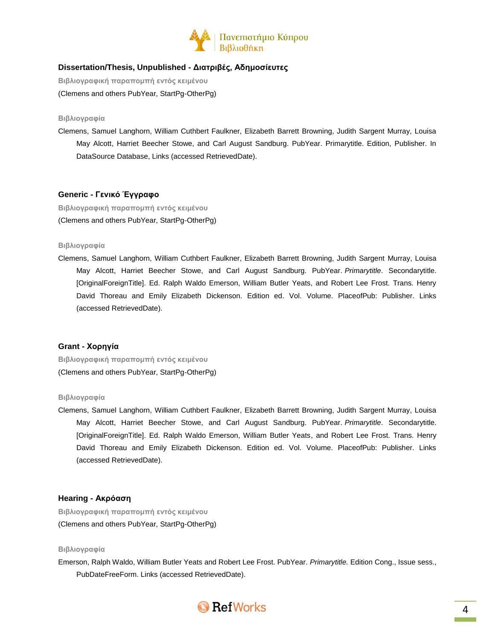

# **Dissertation/Thesis, Unpublished - Διατριβές, Αδημοσίευτες**

**Βιβλιογραφική παραπομπή εντός κειμένου** (Clemens and others PubYear, StartPg-OtherPg)

#### **Βιβλιογραφία**

Clemens, Samuel Langhorn, William Cuthbert Faulkner, Elizabeth Barrett Browning, Judith Sargent Murray, Louisa May Alcott, Harriet Beecher Stowe, and Carl August Sandburg. PubYear. Primarytitle. Edition, Publisher. In DataSource Database, Links (accessed RetrievedDate).

## **Generic - Γενικό Έγγραφο**

**Βιβλιογραφική παραπομπή εντός κειμένου** (Clemens and others PubYear, StartPg-OtherPg)

## **Βιβλιογραφία**

Clemens, Samuel Langhorn, William Cuthbert Faulkner, Elizabeth Barrett Browning, Judith Sargent Murray, Louisa May Alcott, Harriet Beecher Stowe, and Carl August Sandburg. PubYear. *Primarytitle*. Secondarytitle. [OriginalForeignTitle]. Ed. Ralph Waldo Emerson, William Butler Yeats, and Robert Lee Frost. Trans. Henry David Thoreau and Emily Elizabeth Dickenson. Edition ed. Vol. Volume. PlaceofPub: Publisher. Links (accessed RetrievedDate).

## **Grant - Χορηγία**

**Βιβλιογραφική παραπομπή εντός κειμένου** (Clemens and others PubYear, StartPg-OtherPg)

#### **Βιβλιογραφία**

Clemens, Samuel Langhorn, William Cuthbert Faulkner, Elizabeth Barrett Browning, Judith Sargent Murray, Louisa May Alcott, Harriet Beecher Stowe, and Carl August Sandburg. PubYear. *Primarytitle*. Secondarytitle. [OriginalForeignTitle]. Ed. Ralph Waldo Emerson, William Butler Yeats, and Robert Lee Frost. Trans. Henry David Thoreau and Emily Elizabeth Dickenson. Edition ed. Vol. Volume. PlaceofPub: Publisher. Links (accessed RetrievedDate).

## **Hearing - Ακρόαση**

**Βιβλιογραφική παραπομπή εντός κειμένου** (Clemens and others PubYear, StartPg-OtherPg)

#### **Βιβλιογραφία**

Emerson, Ralph Waldo, William Butler Yeats and Robert Lee Frost. PubYear. *Primarytitle.* Edition Cong., Issue sess., PubDateFreeForm. Links (accessed RetrievedDate).

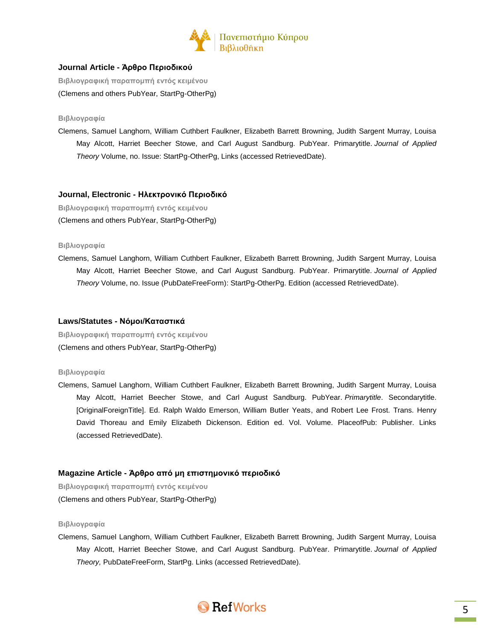

# **Journal Article - Άρθρο Περιοδικού**

**Βιβλιογραφική παραπομπή εντός κειμένου** (Clemens and others PubYear, StartPg-OtherPg)

#### **Βιβλιογραφία**

Clemens, Samuel Langhorn, William Cuthbert Faulkner, Elizabeth Barrett Browning, Judith Sargent Murray, Louisa May Alcott, Harriet Beecher Stowe, and Carl August Sandburg. PubYear. Primarytitle. *Journal of Applied Theory* Volume, no. Issue: StartPg-OtherPg, Links (accessed RetrievedDate).

## **Journal, Electronic - Ηλεκτρονικό Περιοδικό**

**Βιβλιογραφική παραπομπή εντός κειμένου** (Clemens and others PubYear, StartPg-OtherPg)

#### **Βιβλιογραφία**

Clemens, Samuel Langhorn, William Cuthbert Faulkner, Elizabeth Barrett Browning, Judith Sargent Murray, Louisa May Alcott, Harriet Beecher Stowe, and Carl August Sandburg. PubYear. Primarytitle. *Journal of Applied Theory* Volume, no. Issue (PubDateFreeForm): StartPg-OtherPg. Edition (accessed RetrievedDate).

## **Laws/Statutes - Νόμοι/Καταστικά**

**Βιβλιογραφική παραπομπή εντός κειμένου** (Clemens and others PubYear, StartPg-OtherPg)

## **Βιβλιογραφία**

Clemens, Samuel Langhorn, William Cuthbert Faulkner, Elizabeth Barrett Browning, Judith Sargent Murray, Louisa May Alcott, Harriet Beecher Stowe, and Carl August Sandburg. PubYear. *Primarytitle*. Secondarytitle. [OriginalForeignTitle]. Ed. Ralph Waldo Emerson, William Butler Yeats, and Robert Lee Frost. Trans. Henry David Thoreau and Emily Elizabeth Dickenson. Edition ed. Vol. Volume. PlaceofPub: Publisher. Links (accessed RetrievedDate).

# **Magazine Article - Άρθρο από μη επιστημονικό περιοδικό**

**Βιβλιογραφική παραπομπή εντός κειμένου** (Clemens and others PubYear, StartPg-OtherPg)

#### **Βιβλιογραφία**

Clemens, Samuel Langhorn, William Cuthbert Faulkner, Elizabeth Barrett Browning, Judith Sargent Murray, Louisa May Alcott, Harriet Beecher Stowe, and Carl August Sandburg. PubYear. Primarytitle. *Journal of Applied Theory,* PubDateFreeForm, StartPg. Links (accessed RetrievedDate).

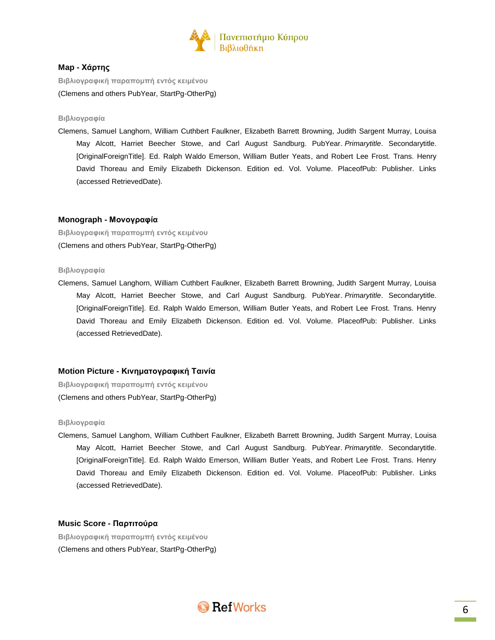

## **Map - Χάρτης**

**Βιβλιογραφική παραπομπή εντός κειμένου** (Clemens and others PubYear, StartPg-OtherPg)

#### **Βιβλιογραφία**

Clemens, Samuel Langhorn, William Cuthbert Faulkner, Elizabeth Barrett Browning, Judith Sargent Murray, Louisa May Alcott, Harriet Beecher Stowe, and Carl August Sandburg. PubYear. *Primarytitle*. Secondarytitle. [OriginalForeignTitle]. Ed. Ralph Waldo Emerson, William Butler Yeats, and Robert Lee Frost. Trans. Henry David Thoreau and Emily Elizabeth Dickenson. Edition ed. Vol. Volume. PlaceofPub: Publisher. Links (accessed RetrievedDate).

## **Monograph - Μονογραφία**

**Βιβλιογραφική παραπομπή εντός κειμένου** (Clemens and others PubYear, StartPg-OtherPg)

## **Βιβλιογραφία**

Clemens, Samuel Langhorn, William Cuthbert Faulkner, Elizabeth Barrett Browning, Judith Sargent Murray, Louisa May Alcott, Harriet Beecher Stowe, and Carl August Sandburg. PubYear. *Primarytitle*. Secondarytitle. [OriginalForeignTitle]. Ed. Ralph Waldo Emerson, William Butler Yeats, and Robert Lee Frost. Trans. Henry David Thoreau and Emily Elizabeth Dickenson. Edition ed. Vol. Volume. PlaceofPub: Publisher. Links (accessed RetrievedDate).

# **Motion Picture - Κινηματογραφική Ταινία**

**Βιβλιογραφική παραπομπή εντός κειμένου** (Clemens and others PubYear, StartPg-OtherPg)

#### **Βιβλιογραφία**

Clemens, Samuel Langhorn, William Cuthbert Faulkner, Elizabeth Barrett Browning, Judith Sargent Murray, Louisa May Alcott, Harriet Beecher Stowe, and Carl August Sandburg. PubYear. *Primarytitle*. Secondarytitle. [OriginalForeignTitle]. Ed. Ralph Waldo Emerson, William Butler Yeats, and Robert Lee Frost. Trans. Henry David Thoreau and Emily Elizabeth Dickenson. Edition ed. Vol. Volume. PlaceofPub: Publisher. Links (accessed RetrievedDate).

## **Music Score - Παρτιτούρα**

**Βιβλιογραφική παραπομπή εντός κειμένου** (Clemens and others PubYear, StartPg-OtherPg)

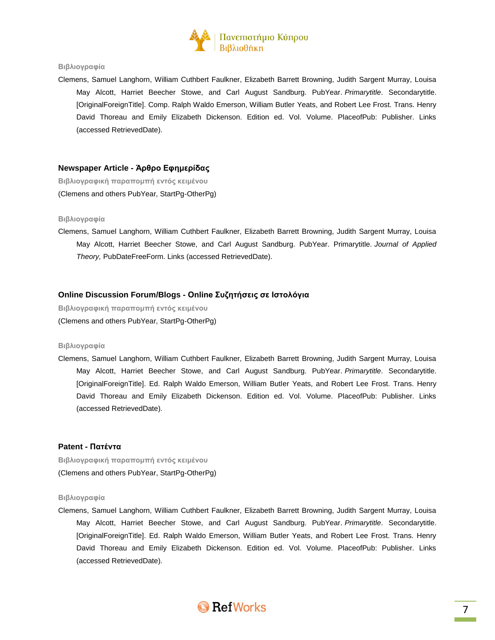

#### **Βιβλιογραφία**

Clemens, Samuel Langhorn, William Cuthbert Faulkner, Elizabeth Barrett Browning, Judith Sargent Murray, Louisa May Alcott, Harriet Beecher Stowe, and Carl August Sandburg. PubYear. *Primarytitle*. Secondarytitle. [OriginalForeignTitle]. Comp. Ralph Waldo Emerson, William Butler Yeats, and Robert Lee Frost. Trans. Henry David Thoreau and Emily Elizabeth Dickenson. Edition ed. Vol. Volume. PlaceofPub: Publisher. Links (accessed RetrievedDate).

#### **Newspaper Article - Άρθρο Εφημερίδας**

**Βιβλιογραφική παραπομπή εντός κειμένου** (Clemens and others PubYear, StartPg-OtherPg)

#### **Βιβλιογραφία**

Clemens, Samuel Langhorn, William Cuthbert Faulkner, Elizabeth Barrett Browning, Judith Sargent Murray, Louisa May Alcott, Harriet Beecher Stowe, and Carl August Sandburg. PubYear. Primarytitle. *Journal of Applied Theory,* PubDateFreeForm. Links (accessed RetrievedDate).

## **Online Discussion Forum/Blogs - Online Συζητήσεις σε Ιστολόγια**

**Βιβλιογραφική παραπομπή εντός κειμένου** (Clemens and others PubYear, StartPg-OtherPg)

#### **Βιβλιογραφία**

Clemens, Samuel Langhorn, William Cuthbert Faulkner, Elizabeth Barrett Browning, Judith Sargent Murray, Louisa May Alcott, Harriet Beecher Stowe, and Carl August Sandburg. PubYear. *Primarytitle*. Secondarytitle. [OriginalForeignTitle]. Ed. Ralph Waldo Emerson, William Butler Yeats, and Robert Lee Frost. Trans. Henry David Thoreau and Emily Elizabeth Dickenson. Edition ed. Vol. Volume. PlaceofPub: Publisher. Links (accessed RetrievedDate).

## **Patent - Πατέντα**

**Βιβλιογραφική παραπομπή εντός κειμένου** (Clemens and others PubYear, StartPg-OtherPg)

#### **Βιβλιογραφία**

Clemens, Samuel Langhorn, William Cuthbert Faulkner, Elizabeth Barrett Browning, Judith Sargent Murray, Louisa May Alcott, Harriet Beecher Stowe, and Carl August Sandburg. PubYear. *Primarytitle*. Secondarytitle. [OriginalForeignTitle]. Ed. Ralph Waldo Emerson, William Butler Yeats, and Robert Lee Frost. Trans. Henry David Thoreau and Emily Elizabeth Dickenson. Edition ed. Vol. Volume. PlaceofPub: Publisher. Links (accessed RetrievedDate).

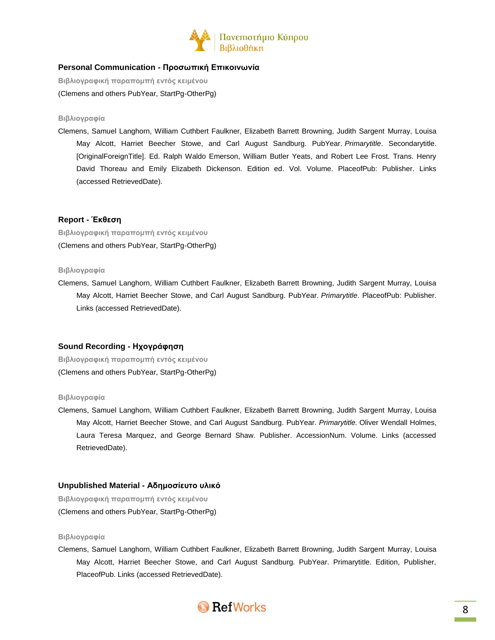

# **Personal Communication - Προσωπική Επικοινωνία**

**Βιβλιογραφική παραπομπή εντός κειμένου** (Clemens and others PubYear, StartPg-OtherPg)

#### **Βιβλιογραφία**

Clemens, Samuel Langhorn, William Cuthbert Faulkner, Elizabeth Barrett Browning, Judith Sargent Murray, Louisa May Alcott, Harriet Beecher Stowe, and Carl August Sandburg. PubYear. *Primarytitle*. Secondarytitle. [OriginalForeignTitle]. Ed. Ralph Waldo Emerson, William Butler Yeats, and Robert Lee Frost. Trans. Henry David Thoreau and Emily Elizabeth Dickenson. Edition ed. Vol. Volume. PlaceofPub: Publisher. Links (accessed RetrievedDate).

## **Report - Έκθεση**

**Βιβλιογραφική παραπομπή εντός κειμένου**

(Clemens and others PubYear, StartPg-OtherPg)

#### **Βιβλιογραφία**

Clemens, Samuel Langhorn, William Cuthbert Faulkner, Elizabeth Barrett Browning, Judith Sargent Murray, Louisa May Alcott, Harriet Beecher Stowe, and Carl August Sandburg. PubYear. *Primarytitle*. PlaceofPub: Publisher. Links (accessed RetrievedDate).

## **Sound Recording - Ηχογράφηση**

**Βιβλιογραφική παραπομπή εντός κειμένου** (Clemens and others PubYear, StartPg-OtherPg)

#### **Βιβλιογραφία**

Clemens, Samuel Langhorn, William Cuthbert Faulkner, Elizabeth Barrett Browning, Judith Sargent Murray, Louisa May Alcott, Harriet Beecher Stowe, and Carl August Sandburg. PubYear. *Primarytitle.* Oliver Wendall Holmes, Laura Teresa Marquez, and George Bernard Shaw. Publisher. AccessionNum. Volume. Links (accessed RetrievedDate).

## **Unpublished Material - Αδημοσίευτο υλικό**

**Βιβλιογραφική παραπομπή εντός κειμένου** (Clemens and others PubYear, StartPg-OtherPg)

## **Βιβλιογραφία**

Clemens, Samuel Langhorn, William Cuthbert Faulkner, Elizabeth Barrett Browning, Judith Sargent Murray, Louisa May Alcott, Harriet Beecher Stowe, and Carl August Sandburg. PubYear. Primarytitle. Edition, Publisher, PlaceofPub. Links (accessed RetrievedDate).